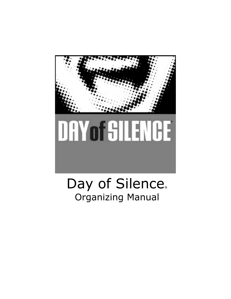

# Day of Silence® Organizing Manual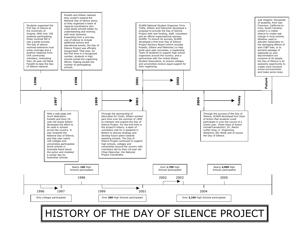

# HISTORY OF THE DAY OF SILENCE PROJECT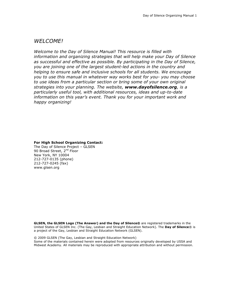#### *WELCOME!*

*Welcome to the Day of Silence Manual! This resource is filled with information and organizing strategies that will help make your Day of Silence as successful and effective as possible. By participating in the Day of Silence, you are joining one of the largest student-led actions in the country and helping to ensure safe and inclusive schools for all students. We encourage you to use this manual in whatever way works best for you- you may choose to use ideas from a particular section or bring some of your own original strategies into your planning. The website, www.dayofsilence.org, is a particularly useful tool, with additional resources, ideas and up-to-date information on this year's event. Thank you for your important work and happy organizing!*

**For High School Organizing Contact:**

The Day of Silence Project – GLSEN 90 Broad Street, 2<sup>nd</sup> Floor New York, NY 10004 212-727-0135 (phone) 212-727-0245 (fax) www.glsen.org

**GLSEN, the GLSEN Logo (The Answer) and the Day of Silence®** are registered trademarks in the United States of GLSEN Inc. (The Gay, Lesbian and Straight Education Network). The **Day of Silence**® is a project of the Gay, Lesbian and Straight Education Network (GLSEN).

© 2009 GLSEN (The Gay, Lesbian and Straight Education Network) Some of the materials contained herein were adopted from resources originally developed by USSA and Midwest Academy. All materials may be reproduced with appropriate attribution and without permission.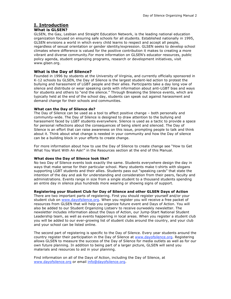## **I. Introduction**

#### **What is GLSEN?**

GLSEN, the Gay, Lesbian and Straight Education Network, is the leading national education organization focused on ensuring safe schools for all students. Established nationally in 1995, GLSEN envisions a world in which every child learns to respect and accept all people, regardless of sexual orientation or gender identity/expression. GLSEN seeks to develop school climates where difference is valued for the positive contribution it makes to creating a more vibrant and diverse community.For more information on GLSEN's educator resources, public policy agenda, student organizing programs, research or development initiatives, visit www.glsen.org.

#### **What is the Day of Silence?**

Founded in 1996 by students at the University of Virginia, and currently officially sponsored in K-12 schools by GLSEN, the Day of Silence is the largest student-led action to protest the bullying and harassment of LGBT people and their allies. Participants take a day long vow of silence and distribute or wear speaking cards with information about anti-LGBT bias and ways for students and others to "end the silence." Through Breaking the Silence events, which are typically held at the end of the school day, students can speak out against harassment and demand change for their schools and communities.

#### **What can the Day of Silence do?**

The Day of Silence can be used as a tool to affect positive change – both personally and community-wide. The Day of Silence is designed to draw attention to the bullying and harassment faced by LGBT students everywhere. Silence is used as a tactic to provide a space for personal reflections about the consequences of being silent and silenced. The Day of Silence is an effort that can raise awareness on this issue, prompting people to talk and think about it. Think about what change is needed in your community and how the Day of silence can be a building block in your efforts to create change.

For more information about how to use the Day of Silence to create change see "How to Get What You Want With An Ask!" in the Resources section at the end of this Manual.

#### **What does the Day of Silence look like?**

No two Day of Silence events look exactly the same. Students everywhere design the day in ways that make sense for their particular school. Many students make t-shirts with slogans supporting LGBT students and their allies. Students pass out "speaking cards" that state the intention of the day and ask for understanding and consideration from their peers, faculty and administrations. Events range in size from a single student to a thousand students spending an entire day in silence plus hundreds more wearing or showing signs of support.

#### **Registering your Student Club for Day of Silence and other GLSEN Days of Action**

There are two important parts of registering. First you should register yourself and/or your student club on www.dayofsilence.org. When you register you will receive a free packet of resources from GLSEN that will help you organize future event and Days of Action. You will also be added to our Student Organizing Listserv to receive ourweekly newsletter. The newsletter includes information about the Days of Action, our Jump-Start National Student Leadership team, as well as events happening in local areas. When you register a student club you will be added to our ever-growing list of student clubs around the country, and your club and your school can be listed online.

The second part of registering is specific to the Day of Silence. Every year students around the country register their participation in the Day of Silence at www.dayofsilence.org. Registering allows GLSEN to measure the success of the Day of Silence for media outlets as well as for our own future planning. In addition to being part of a larger picture, GLSEN will send you materials and resources to aid in your planning.

Find information on all of the Days of Action, including the Day of Silence, at www.dayofsilence.org or email info@dayofsilence.org.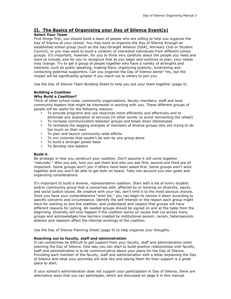#### **II. The Basics of Organizing your Day of Silence Event(s)**

#### **Select Your Team**

First things first, you should build a team of people who are willing to help you organize the Day of Silence at your school. You may want to organize the Day of Silence through an established school group (such as the Gay-Straight Alliance [GSA], Amnesty Club or Student Council), or you may want to build a coilation of interested individuals from different school groups. It's important, however, for you to think very carefully about the people you need and want to include, and for you to recognize that as you begin and continue to plan, your needs may change. Try to get a group of people together who have a variety of strengths and interests, such as public speaking, making fliers, organizing publicity, fundraising and contacting potential supporters. Can you organize the Day of Silence alone? Yes, but the impact will be significantly greater if you reach out to others to join you.

Use the Day of Silence Team Building Sheet to help you put your team together (page 4).

#### **Building a Coalition Why Build a Coalition?**

Think of other school clubs, community organizations, faculty members, staff and local community leaders that might be interested in working with you. These different groups of people will be useful for the following reasons:

- To provide programs and use resources more efficiently and effectively and to eliminate any duplication of services (in other words, to avoid reinventing the wheel)
- To increase communication between groups and break down stereotypes
- To revitalize the sagging energies of members of diverse groups who are trying to do too much on their own
- To plan and launch community-wide efforts
- To win victories that couldn't be won by one group alone
- To build a stronger power base
- To develop new leaders

#### **Build it**

Be strategic in how you construct your coalition. Don't assume it will come together "naturally." Who you ask, how you ask them and who you ask first, second and third are all important. Some groups won't join if others have been asked first. Some groups won't work together and you won't be able to get both on board. Take into account you own goals and organizing considerations.

It's important to build a diverse, representative coalition. Start with a list of every student and/or community group that is concerned with, affected by or working on diversity, equity and social justice issues. Be creative with your list; don't limit it to the most obvious choices. Once you have your comprehensive "wish list," you can begin to narrow it down according to specific concerns and circumstance. Identify the self-interest or the reason each group might have for wanting to join the coalition, and understand and respect that groups will have different reasons for joining. All needed groups should be signed on and at the table from the beginning. Diversity will only happen if the coalition works on issues that cut across many groups and acknowledges how barriers created by institutional sexism, racism, heterosexism, ableism and classism affect the internal workings of the coalition.

Use the Day of Silence Planning Sheet (page 9) to help organize your thoughts.

#### **Reaching out to faculty, staff and administration**

It can sometimes be difficult to get support from your faculty, staff and administration when planning the Day of Silence. One way you can start to build positive relationships with faculty, staff and administration is to be communicative about your plans for the Day of Silence. Providing each member of the faculty, staff and administration with a letter explaining the Day of Silence and what your activities will look like and asking them for their support is a great place to start.

If your school's administration does not support your participation in Day of Silence, there are alternative ways that you can participate, which are discussed on page 6 in this manual.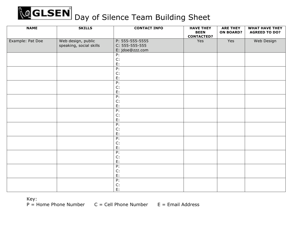# **QGLSEN** Day of Silence Team Building Sheet

| <b>NAME</b>      | <b>SKILLS</b>                                 | <b>CONTACT INFO</b>                 | <b>HAVE THEY</b><br><b>BEEN</b><br><b>CONTACTED?</b> | <b>ARE THEY</b><br><b>ON BOARD?</b> | <b>WHAT HAVE THEY</b><br><b>AGREED TO DO?</b> |
|------------------|-----------------------------------------------|-------------------------------------|------------------------------------------------------|-------------------------------------|-----------------------------------------------|
| Example: Pat Doe | Web design, public<br>speaking, social skills | P: 555-555-5555<br>$C: 555-555-555$ | Yes                                                  | Yes                                 | Web Design                                    |
|                  |                                               | jdoe@zzz.com<br>E:                  |                                                      |                                     |                                               |
|                  |                                               | P:<br>C:                            |                                                      |                                     |                                               |
|                  |                                               | E:                                  |                                                      |                                     |                                               |
|                  |                                               | P:                                  |                                                      |                                     |                                               |
|                  |                                               | C:                                  |                                                      |                                     |                                               |
|                  |                                               | E:                                  |                                                      |                                     |                                               |
|                  |                                               | P:                                  |                                                      |                                     |                                               |
|                  |                                               | C:                                  |                                                      |                                     |                                               |
|                  |                                               | E:                                  |                                                      |                                     |                                               |
|                  |                                               | P:                                  |                                                      |                                     |                                               |
|                  |                                               | C:                                  |                                                      |                                     |                                               |
|                  |                                               | E:                                  |                                                      |                                     |                                               |
|                  |                                               | P:                                  |                                                      |                                     |                                               |
|                  |                                               | C:                                  |                                                      |                                     |                                               |
|                  |                                               | E:                                  |                                                      |                                     |                                               |
|                  |                                               | P:                                  |                                                      |                                     |                                               |
|                  |                                               | C:                                  |                                                      |                                     |                                               |
|                  |                                               | E:                                  |                                                      |                                     |                                               |
|                  |                                               | P:                                  |                                                      |                                     |                                               |
|                  |                                               | C:                                  |                                                      |                                     |                                               |
|                  |                                               | E:                                  |                                                      |                                     |                                               |
|                  |                                               | P:                                  |                                                      |                                     |                                               |
|                  |                                               | C:                                  |                                                      |                                     |                                               |
|                  |                                               | E:                                  |                                                      |                                     |                                               |
|                  |                                               | P:                                  |                                                      |                                     |                                               |
|                  |                                               | C:                                  |                                                      |                                     |                                               |
|                  |                                               | E:                                  |                                                      |                                     |                                               |
|                  |                                               | P:                                  |                                                      |                                     |                                               |
|                  |                                               | C:                                  |                                                      |                                     |                                               |
|                  |                                               | E:                                  |                                                      |                                     |                                               |

 $P =$  Home Phone Number  $C =$  Cell Phone Number  $E =$  Email Address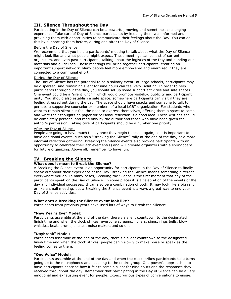#### **III. Silence Throughout the Day**

Participating in the Day of Silence can be a powerful, moving and sometimes challenging experience. Take care of Day of Silence participants by keeping them well informed and providing them with opportunities to communicate their feelings about the Day. You can do this by supporting them before, during and after the Day of Silence.

#### Before the Day of Silence

We recommend that you hold a participants' meeting to talk about what the Day of Silence might look like and what people might expect. These meetings can consist of current organizers, and even past participants, talking about the logistics of the Day and handing out materials and guidelines. These meetings will bring together participants, creating an important support network. Many people feel more empowered and energized if they are connected to a communal effort.

#### During the Day of Silence

The Day of Silence has the potential to be a solitary event; at large schools, participants may be dispersed, and remaining silent for nine hours can feel very isolating. In order to help participants throughout the day, you should set up some support activities and safe spaces. One event could be a "silent lunch," which would promote visibility, publicity and participant unity. You should also establish a safe space, somewhere participants can visit if they are feeling stressed out during the day. The space should have snacks and someone to talk to, perhaps a supportive counselor or members of a local LGBT organization. For students who want to remain silent but feel the need to express themselves, offering them a space to come and write their thoughts on paper for personal reflection is a good idea. These writings should be completely personal and read only by the author and those who have been given the author's permission. Taking care of participants should be a number one priority.

#### After the Day of Silence

People are going to have much to say once they begin to speak again, so it is important to have additional events, such as a "Breaking the Silence" rally at the end of the day, or a more informal reflection gathering. Breaking the Silence events also provide participants with an opportunity to celebrate their achievement(s) and will provide organizers with a springboard for future organizing. Above all, remember to have fun.

#### **IV. Breaking the Silence**

#### **What does it mean to Break the Silence?**

A Breaking the Silence event is an opportunity for participants in the Day of Silence to finally speak out about their experience of the Day. Breaking the Silence means something different everywhere you go. In many cases, Breaking the Silence is the first moment that any of the participants speak on the Day of Silence. In some places it is a celebration of the events of the day and individual successes. It can also be a combination of both. It may look like a big rally or like a small meeting, but a Breaking the Silence event is always a great way to end your Day of Silence activities.

#### **What does a Breaking the Silence event look like?**

Participants from previous years have used lots of ways to Break the Silence:

#### **"New Year's Eve" Model:**

Participants assemble at the end of the day, there's a silent countdown to the designated finish time and when the clock strikes, everyone screams, hollers, sings, rings bells, blow whistles, beats drums, shakes, noise makers and so on.

#### **"Daybreak" Model:**

Participants assemble at the end of the day, there's a silent countdown to the designated finish time and when the clock strikes, people begin slowly to make noise or speak as the feeling comes to them.

#### **"One Voice" Model:**

Participants assemble at the end of the day and when the clock strikes participants take turns going up to the microphones and speaking to the entire group. One powerful approach is to have participants describe how it felt to remain silent for nine hours and the responses they received throughout the day. Remember that participating in the Day of Silence can be a very emotional and exhausting event for people. Expect various types of conversations to ensue.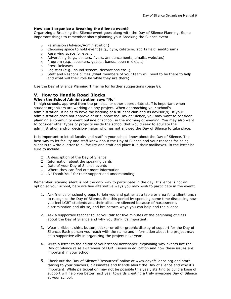#### **How can I organize a Breaking the Silence event?**

Organizing a Breaking the Silence event goes along with the Day of Silence Planning. Some important things to remember about planning your Breaking the Silence event:

- o Permission (Advisor/Administration)
- $\circ$  Choosing space to hold event (e.g., gym, cafeteria, sports field, auditorium)<br> $\circ$  Reserving space for event
- Reserving space for event
- $\circ$  Advertising (e.g., posters, flyers, announcements, emails, websites)
- o Program (e.g., speakers, guests, bands, open mic etc…)
- o Press Releases
- o Logistics (e.g., sound system, decorations etc…)
- $\circ$  Staff and Responsibilities (what members of your team will need to be there to help and what will their role be while they are there)

Use the Day of Silence Planning Timeline for further suggestions (page 8).

#### **V. How to Handle Road Blocks**

#### **When the School Administration says "No"**

In high schools, approval from the principal or other appropriate staff is important when student organizers are working on any project. When approaching your school's administration, it helps to have the backing of a student club and its advisor(s). If your administration does not approve of or support the Day of Silence, you may want to consider planning a community event outside of school, in the morning or evening. You may also want to consider other types of projects inside the school that would seek to educate the administration and/or decision-maker who has not allowed the Day of Silence to take place.

It is important to let all faculty and staff in your school know about the Day of Silence. The best way to let faculty and staff know about the Day of Silence and your reasons for being silent is to write a letter to all faculty and staff and place it in their mailboxes. In the letter be sure to include:

- □ A description of the Day of Silence
- □ Information about the speaking cards
- □ Date of your Day of Silence events
- □ Where they can find out more information
- A "Thank You" for their support and understanding

Remember, staying silent is not the only way to participate in the day. If silence is not an option at your school, here are five alternative ways you may wish to participate in the event:

- 1. Ask friends or school groups to join you and gather at a table or area for a silent lunch to recognize the Day of Silence. End this period by spending some time discussing how you feel LGBT students and their allies are silenced because of harassment, discrimination and abuse, and brainstorm ways you can help end the silence.
- 2. Ask a supportive teacher to let you talk for five minutes at the beginning of class about the Day of Silence and why you think it's important.
- 3. Wear a ribbon, shirt, button, sticker or other graphic display of support for the Day of Silence. Each person you reach with the name and information about the project may be a supportive ally in organizing the project next year.
- 4. Write a letter to the editor of your school newspaper, explaining why events like the Day of Silence raise awareness of LGBT issues in education and how these issues are important in your school.
- 5. Check out the Day of Silence "Resources" online at www.dayofsilence.org and start talking to your teachers, classmates and friends about the Day of silence and why it's important. While participation may not be possible this year, starting to build a base of support will help you better next year towards creating a truly awesome Day of Silence at your school.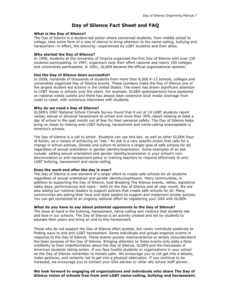#### **Day of Silence Fact Sheet and FAQ**

#### **What is the Day of Silence?**

The Day of Silence is a student-led action where concerned students, from middle school to college, take some form of a vow of silence to bring attention to the name-calling, bullying and harassment—in effect, the silencing—experienced by LGBT students and their allies.

#### **Who started the Day of Silence?**

In 1996, students at the University of Virginia organized the first Day of Silence with over 150 students participating. In 1997, organizers took their effort national and nearly 100 colleges and universities participated. In 2001, GLSEN became the official organizational sponsor.

#### **Has the Day of Silence been successful?**

In 2008, hundreds of thousands of students from more than 8,000 K-12 schools, colleges and universities organized Day of Silence events. These numbers make the Day of Silence one of the largest student-led actions in the United States. The event has drawn significant attention to LGBT issues in schools over the years. For example, GLSEN spokespersons have appeared on national media outlets and there has always been extensive local media coverage from coast to coast, with numerous interviews with students.

#### **Why do we need a Day of Silence?**

GLSEN's 2007 National School Climate Survey found that 9 out of 10 LGBT students report verbal, sexual or physical harassment at school and more than 30% report missing at least a day of school in the past month out of fear for their personal safety. The Day of Silence helps bring us closer to making anti-LGBT bullying, harassment and name-calling unacceptable in America's schools.

The Day of Silence is a call to action. Students can use this day, as well as other GLSEN Days of Action, as a means of achieving an "ask." An ask is a very specific action that calls for a change in school policies, climate and culture to achieve a larger goal of safe schools for all, regardless of sexual orientation or gender identity/expression. Some examples of an ask include: adding sexual orientation and gender identity/expression in your school's nondiscrimination or anti-harassment policy or training teachers to respond effectively to anti-LGBT bullying, harassment and name-calling.

#### **Does the work end after the day is over?**

The Day of Silence is one element of a larger effort to create safe schools for all students regardless of sexual orientation and gender identity/expression. Many communities, in addition to supporting the Day of Silence, host Breaking The Silence events, rallies, legislative lobby days, performances and more – both on the Day of Silence and all year round. We are also asking our national leaders to support policies that create safe schools for all. Many communities are asking their local and state leaders to support and implement similar policies. You can get connected to an ongoing national effort by registering your GSA with GLSEN.

#### **What do you have to say about potential opponents to the Day of Silence?**

The issue at hand is the bullying, harassment, name-calling and violence that students see and face in our schools. The Day of Silence is an activity created and led by students to educate their peers and bring an end to this harassment.

Those who do not support the Day of Silence often protest, but rarely contribute positively to finding ways to end anti-LGBT harassment. Some individuals and groups organize events in response to the Day of Silence. These events grossly mischaracterize or simply misunderstand the basic purpose of the Day of Silence. Bringing attention to these events only adds a false credibility to their misinformation about the Day of Silence, GLSEN and the thousands of American students taking action. If you face hostile students or organizations in your school on the Day of Silence remember to remain calm. We encourage you to not get into a debate, make gestures, and certainly not to get into a physical altercation. If you continue to be harassed, we encourage you to contact your GSA advisor or other ally school staff person.

#### **We look forward to engaging all organizations and individuals who share The Day of Silence vision of schools free from anti-LGBT name-calling, bullying and harassment.**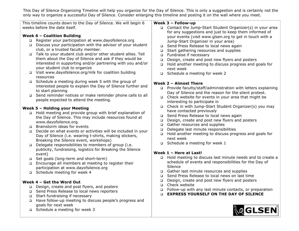This Day of Silence Organizing Timeline will help you organize for the Day of Silence. This is only a suggestion and is certainly not the only way to organize a successful Day of Silence. Consider enlarging this timeline and posting it on the wall where you meet.

| $\Box$<br>$\Box$<br>$\Box$           | This timeline counts down to the Day of Silence. We will begin 6<br>weeks before the date itself.<br>Week $6$ – Coalition Building<br>Register your participation at www.dayofsilence.org<br>Discuss your participation with the advisor of your student<br>club, or a trusted faculty member.<br>Talk to your student club and/or other student allies. Tell<br>them about the Day of Silence and ask if they would be<br>interested in supporting and/or partnering with you and/or<br>your student club to organize | Week 3 - Follow-up<br>□ Contact the Jump-Start Student Organizer(s) in your area<br>for any suggestions and just to keep them informed of<br>your events (visit www.glsen.org to get in touch with a<br>Jump-Start Organizer in your area)<br>Send Press Release to local news again<br>$\Box$<br>Start gathering resources and supplies<br>$\Box$<br>Fundraise if necessary<br>$\Box$<br>Design, create and post new flyers and posters<br>$\Box$<br>Hold another meeting to discuss progress and goals for<br>$\Box$<br>next week  |  |  |  |  |
|--------------------------------------|------------------------------------------------------------------------------------------------------------------------------------------------------------------------------------------------------------------------------------------------------------------------------------------------------------------------------------------------------------------------------------------------------------------------------------------------------------------------------------------------------------------------|--------------------------------------------------------------------------------------------------------------------------------------------------------------------------------------------------------------------------------------------------------------------------------------------------------------------------------------------------------------------------------------------------------------------------------------------------------------------------------------------------------------------------------------|--|--|--|--|
| $\Box$<br>$\Box$                     | □ Visit www.dayofsilence.org/mlk for coalition building<br>resources<br>Schedule a meeting during week 5 with the group of<br>interested people to explain the Day of Silence further and<br>to start planning<br>Send reminder notices or make reminder phone calls to all<br>people expected to attend the meeting.                                                                                                                                                                                                  | Schedule a meeting for week 2<br>$\Box$<br>Week 2 - Almost There<br>Provide faculty/staff/administration with letters explaining<br>$\Box$<br>Day of Silence and the reason for the silent protest.<br>Check website for events in your area that might be<br>$\Box$<br>interesting to participate in                                                                                                                                                                                                                                |  |  |  |  |
| $\Box$<br>$\Box$<br>$\Box$<br>$\Box$ | Week 5 - Holding your Meeting<br>Hold meeting and provide group with brief explanation of<br>the Day of Silence. This may include resources found at<br>www.dayofsilence.org.<br>Brainstorm ideas for events<br>Decide on what events or activities will be included in your<br>Day of Silence (i.e. wearing t-shirts, making stickers,<br>Breaking the Silence event, workshops)<br>Delegate responsibilities to members of group (i.e.<br>publicity, fundraising, logistics for Breaking the Silence<br>event)       | Check in with Jump-Start Student Organizer(s) you may<br>$\Box$<br>have contacted previously<br>Send Press Release to local news again<br>$\Box$<br>Design, create and post new flyers and posters<br>$\Box$<br>Gather resources and supplies<br>$\Box$<br>Delegate last minute responsibilities<br>$\Box$<br>Hold another meeting to discuss progress and goals for<br>$\Box$<br>next week<br>$\Box$ Schedule a meeting for week 1<br>Week 1 - Here at Last!<br>Hold meeting to discuss last minute needs and to create a<br>$\Box$ |  |  |  |  |
| $\Box$<br>$\Box$<br>□                | Set goals (long-term and short-term)<br>Encourage all members at meeting to register their<br>participation at www.dayofsilence.org<br>□ Schedule meeting for week 4<br>Week 4 - Get the Word Out<br>Design, create and post flyers, and posters<br>Send Press Release to local news reporters                                                                                                                                                                                                                         | schedule of events and responsibilities for the Day of<br>Silence<br>Gather last minute resources and supplies<br>Send Press Release to local news on last time<br>$\Box$<br>Design, create and post new flyers and posters<br>□<br>Check website<br>$\Box$<br>Follow-up with any last minute contacts, or preparation<br><b>EXPRESS YOURSELF ON THE DAY OF SILENCE</b>                                                                                                                                                              |  |  |  |  |
| □<br>□<br>$\Box$                     | Start fundraising if necessary<br>Have follow-up meeting to discuss people's progress and<br>goals for next week<br>Schedule a meeting for week 3                                                                                                                                                                                                                                                                                                                                                                      | <b><i><b>AGLSEN</b></i></b>                                                                                                                                                                                                                                                                                                                                                                                                                                                                                                          |  |  |  |  |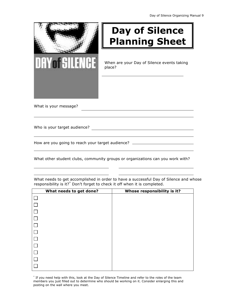

# **Day of Silence Planning Sheet**

When are your Day of Silence events taking place?

What is your message?

Who is your target audience?

How are you going to reach your target audience? \_\_\_\_\_\_\_\_\_\_\_\_\_\_\_\_\_\_\_\_\_\_\_\_\_\_\_\_\_\_\_

What other student clubs, community groups or organizations can you work with?

|        | What needs to get done? | Whose responsibility is it? |
|--------|-------------------------|-----------------------------|
|        |                         |                             |
| $\Box$ |                         |                             |
| $\Box$ |                         |                             |
| $\Box$ |                         |                             |
|        |                         |                             |
|        |                         |                             |
|        |                         |                             |
|        |                         |                             |
|        |                         |                             |
| $\Box$ |                         |                             |
|        |                         |                             |

What needs to get accomplished in order to have a successful Day of Silence and whose responsibility is it?\* Don't forget to check it off when it is completed.

\* If you need help with this, look at the Day of Silence Timeline and refer to the roles of the team members you just filled out to determine who should be working on it. Consider enlarging this and posting on the wall where you meet.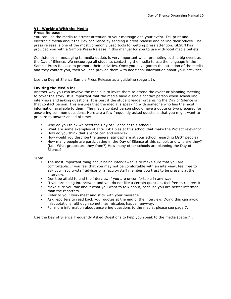#### **VI. Working With the Media**

#### **Press Release:**

You can use the media to attract attention to your message and your event. Tell print and electronic media about the Day of Silence by sending a press release and calling their offices. The press release is one of the most commonly used tools for getting press attention. GLSEN has provided you with a Sample Press Release in this manual for you to use with local media outlets.

Consistency in messaging to media outlets is very important when promoting such a big event as the Day of Silence. We encourage all students contacting the media to use the language in the Sample Press Release to promote their activities. Once you have gotten the attention of the media and they contact you, then you can provide them with additional information about your activities.

Use the Day of Silence Sample Press Release as a guideline (page 11).

#### **Inviting the Media in:**

Another way you can involve the media is to invite them to attend the event or planning meeting to cover the story. It is important that the media have a single contact person when scheduling interviews and asking questions. It is best if the student leader organizing the Day of Silence is that contact person. This ensures that the media is speaking with someone who has the most information available to them. The media contact person should have a quote or two prepared for answering common questions. Here are a few frequently asked questions that you might want to prepare to answer ahead of time:

- Why do you think we need the Day of Silence at this school?
- What are some examples of anti-LGBT bias at this school that make the Project relevant?
- How do you think that silence can end silence?
- How would you describe the general atmosphere at your school regarding LGBT people?
- How many people are participating in the Day of Silence at this school, and who are they? (i.e., What groups are they from?) How many other schools are planning the Day of Silence?

#### **Tips:**

- The most important thing about being interviewed is to make sure that you are comfortable. If you feel that you may not be comfortable with an interview, feel free to ask your faculty/staff advisor or a faculty/staff member you trust to be present at the interview.
- Don't be afraid to end the interview if you are uncomfortable in any way.
- If you are being interviewed and you do not like a certain question, feel free to redirect it.<br>• Make sure you talk about what you want to talk about, because you are better informed.
- Make sure you talk about what you want to talk about, because you are better informed than the reporters.
- Refer to your worksheet and stick with your message.
- Ask reporters to read back your quotes at the end of the interview. Doing this can avoid misquotations, although sometimes mistakes happen anyway.
- For more information about answering questions to the media, please see page 7.

Use the Day of Silence Frequently Asked Questions to help you speak to the media (page 7).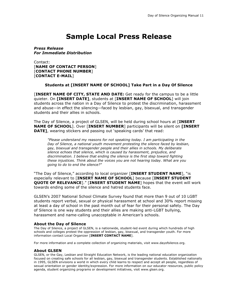# **Sample Local Press Release**

*Press Release For Immediate Distribution*

Contact: [**NAME OF CONTACT PERSON**] [**CONTACT PHONE NUMBER**] [**CONTACT E-MAIL**]

#### **Students at [INSERT NAME OF SCHOOL] Take Part in a Day Of Silence**

[**INSERT NAME OF CITY, STATE AND DATE:** Get ready for the campus to be a little quieter. On **[INSERT DATE]**, students at [**INSERT NAME OF SCHOOL**] will join students across the nation in a Day of Silence to protest the discrimination, harassment and abuse—in effect the silencing—faced by lesbian, gay, bisexual, and transgender students and their allies in schools.

The Day of Silence, a project of GLSEN, will be held during school hours at [**INSERT NAME OF SCHOOL**]. Over [**INSERT NUMBER**] participants will be silent on **[INSERT DATE]**, wearing stickers and passing out 'speaking cards' that read:

*"Please understand my reasons for not speaking today. I am participating in the Day of Silence, a national youth movement protesting the silence faced by lesbian, gay, bisexual and transgender people and their allies in schools. My deliberate silence echoes that silence, which is caused by harassment, prejudice, and discrimination. I believe that ending the silence is the first step toward fighting these injustices. Think about the voices you are not hearing today. What are you going to do to end the silence?"*

"The Day of Silence," according to local organizer [**INSERT STUDENT NAME**], "is especially relevant to [**INSERT NAME OF SCHOOL**] because [**INSERT STUDENT QUOTE OF RELEVANCE**]." [**INSERT STUDENT NAME**] hopes that the event will work towards ending some of the silence and hatred students face.

GLSEN's 2007 National School Climate Survey found that more than 9 out of 10 LGBT students report verbal, sexual or physical harassment at school and 30% report missing at least a day of school in the past month out of fear for their personal safety. The Day of Silence is one way students and their allies are making anti-LGBT bullying, harassment and name-calling unacceptable in American's schools.

#### **About the Day of Silence**

The Day of Silence, a project of GLSEN, is a nationwide, student-led event during which hundreds of high schools and colleges protest the oppression of lesbian, gay, bisexual, and transgender youth. For more information contact Local Organizer [**INSERT CONTACT NAME**].

For more information and a complete collection of organizing materials, visit www.dayofsilence.org.

#### **About GLSEN**

GLSEN, or the Gay, Lesbian and Straight Education Network, is the leading national education organization focused on creating safe schools for all lesbian, gay, bisexual and transgender students. Established nationally in 1995, GLSEN envisions a world in which every child learns to respect and accept all people, regardless of sexual orientation or gender identity/expression. For more information on our educator resources, public policy agenda, student organizing programs or development initiatives, visit www.glsen.org.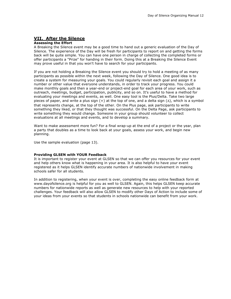#### **VII. After the Silence**

#### **Assessing the Effort**

A Breaking the Silence event may be a good time to hand out a generic evaluation of the Day of Silence. The experience of the Day will be fresh for participants to report on and getting the forms back will be quite simple. You can have one person in charge of collecting the completed forms or offer participants a "Prize" for handing in their form. Doing this at a Breaking the Silence Event may prove useful in that you won't have to search for your participants.

If you are not holding a Breaking the Silence event you should try to hold a meeting of as many participants as possible within the next week, following the Day of Silence. One good idea is to create a system for measuring your goals. You could regularly revisit each goal and assign it a number or other value that everyone understands, in order to track your progress. You could make monthly goals and then a year-end or project-end goal for each area of your work, such as outreach, meetings, budget, participation, publicity, and so on. It's useful to have a method for evaluating your meetings and events, as well. One easy tool is the Plus/Delta. Take two large pieces of paper, and write a plus sign  $(+)$  at the top of one, and a delta sign  $(\Delta)$ , which is a symbol that represents change, at the top of the other. On the Plus page, ask participants to write something they liked, or that they thought was successful. On the Delta Page, ask participants to write something they would change. Someone in your group should volunteer to collect evaluations at all meetings and events, and to develop a summary.

Want to make assessment more fun? For a final wrap-up at the end of a project or the year, plan a party that doubles as a time to look back at your goals, assess your work, and begin new planning.

Use the sample evaluation (page 13).

#### **Providing GLSEN with YOUR Feedback**

It is important to register your event at GLSEN so that we can offer you resources for your event and help others know what is happening in your area. It is also helpful to have your event registered as it helps GLSEN identify accurate numbers of nationwide involvement in making schools safer for all students.

In addition to registering, when your event is over, completing the easy online feedback form at www.dayofsilence.org is helpful for you as well to GLSEN. Again, this helps GLSEN keep accurate numbers for nationwide reports as well as generate new resources to help with your reported challenges. Your feedback will also allow GLSEN to modify other Days of Action to include some of your ideas from your events so that students in schools nationwide can benefit from your work.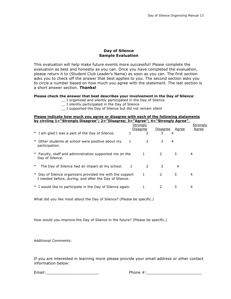#### **Day of Silence Sample Evaluation**

This evaluation will help make future events more successful! Please complete the evaluation as best and honestly as you can. Once you have completed the evaluation, please return it to (Student Club Leader's Name) as soon as you can. The first section asks you to check off the answer that best applies to you. The second section asks you to circle a number based on how much you agree with the statement. The last section is a short answer section. **Thanks!**

#### **Please check the answer that best describes your involvement in the Day of Silence**:

- \_\_ I organized and silently participated in the Day of Silence
- \_\_ I silently participated in the Day of Silence
- \_\_ I supported the Day of Silence but did not remain silent

#### **Please indicate how much you agree or disagree with each of the following statements by circling 1="Strongly Disagree"; 2="Disagree; 3="Agree"; 4="Strongly Agree".**

|        |                                                                                                                    | Strongly     |              |          |       | Strongly     |  |
|--------|--------------------------------------------------------------------------------------------------------------------|--------------|--------------|----------|-------|--------------|--|
|        |                                                                                                                    |              | Disagree     | Disagree | Agree | <u>Agree</u> |  |
|        | * I am glad I was a part of the Day of Silence.                                                                    |              |              | 3.       | 4     |              |  |
|        | * Other students at school were positive about my<br>participation.                                                | 1            | 2            | 3        | 4     |              |  |
|        | * Faculty, staff and administration supported me on the<br>Day of Silence.                                         |              | $\mathbf{1}$ | 2        | 3     | 4            |  |
| $\ast$ | The Day of Silence had an impact at my school.                                                                     | $\mathbf{1}$ | 2            | 3        | 4     |              |  |
|        | * Day of Silence organizers provided me with the support<br>I needed before, during, and after the Day of Silence. |              | 1            | 2        | 3     | 4            |  |
|        | * I would like to participate in the Day of Silence again.                                                         |              |              |          |       | 4            |  |

What did you like most about the Day of Silence? (Please be specific.)

How would you improve the Day of Silence in the future? (Please be specific.)

Additional Comments:

If you are interested in learning more please provide your email address or other contact information below:

Email:  $\Box$  Phone  $\#$ :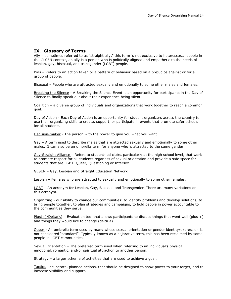#### **IX. Glossary of Terms**

 $\frac{\text{Ally}}{\text{AIIy}}$  – sometimes referred to as "straight ally," this term is not exclusive to heterosexual people in the GLSEN context, an ally is a person who is politically aligned and empathetic to the needs of lesbian, gay, bisexual, and transgender (LGBT) people.

Bias – Refers to an action taken or a pattern of behavior based on a prejudice against or for a group of people.

Bisexual – People who are attracted sexually and emotionally to some other males and females.

Breaking the Silence - A Breaking the Silence Event is an opportunity for participants in the Day of Silence to finally speak out about their experience being silent.

Coalition – a diverse group of individuals and organizations that work together to reach a common goal.

Day of Action - Each Day of Action is an opportunity for student organizers across the country to use their organizing skills to create, support, or participate in events that promote safer schools for all students.

Decision-maker - The person with the power to give you what you want.

Gay – A term used to describe males that are attracted sexually and emotionally to some other males. It can also be an umbrella term for anyone who is attracted to the same gender.

Gay-Straight Alliance - Refers to student-led clubs, particularly at the high school level, that work to promote respect for all students regarless of sexual orientation and provide a safe space for students that are LGBT, Queer, Questioning or Intersex.

GLSEN – Gay, Lesbian and Straight Education Network

Lesbian – Females who are attracted to sexually and emotionally to some other females.

LGBT - An acronym for Lesbian, Gay, Bisexual and Transgender. There are many variations on this acronym.

Organizing - our ability to change our communities: to identify problems and develop solutions, to bring people together, to plan strategies and campaigns, to hold people in power accountable to the communities they serve.

 $Plus(+)/Delta(\Delta)$  – Evaluation tool that allows participants to discuss things that went well (plus +) and things they would like to change (delta  $\Delta$ ).

Queer - An umbrella term used by many whose sexual orientation or gender identity/expression is not considered "standard". Typically known as a pejorative term, this has been reclaimed by some people in LGBT communities.

Sexual Orientation – The preferred term used when referring to an individual's physical, emotional, romantic, and/or spiritual attraction to another person.

Strategy – a larger scheme of activities that are used to achieve a goal.

Tactics - deliberate, planned actions, that should be designed to show power to your target, and to increase visibility and support.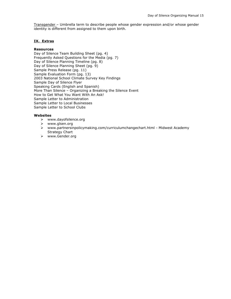Transgender - Umbrella term to describe people whose gender expression and/or whose gender identity is different from assigned to them upon birth.

#### **IX. Extras**

#### **Resources**

Day of Silence Team Building Sheet (pg. 4) Frequently Asked Questions for the Media (pg. 7) Day of Silence Planning Timeline (pg. 8) Day of Silence Planning Sheet (pg. 9) Sample Press Release (pg. 11) Sample Evaluation Form (pg. 13) 2003 National School Climate Survey Key Findings Sample Day of Silence Flyer Speaking Cards (English and Spanish) More Than Silence – Organizing a Breaking the Silence Event How to Get What You Want With An Ask! Sample Letter to Administration Sample Letter to Local Businesses Sample Letter to School Clubs

#### **Websites**

- www.dayofsilence.org
- www.glsen.org
- www.partnersinpolicymaking.com/curriculumchangechart.html Midwest Academy Strategy Chart
- www.Gender.org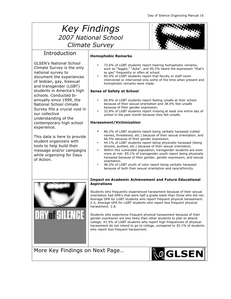# *Key Findings 2007 National School Climate Survey*



## **Introduction**

GLSEN's National School Climate Survey is the only national survey to document the experiences of lesbian, gay, bisexual and transgender (LGBT) students in America's high schools. Conducted biannually since 1999, the National School climate Survey fills a crucial void in our collective understanding of the contemporary high school experience.

This data is here to provide student organizers with tools to help build their message and/or campaigns while organizing for Days of Action.

#### **Homophobic Remarks**

- 73.6% of LGBT students report hearing homophobic remarks, such as "faggot," "dyke", and 90.2% heard the expression "that's so gay" frequently or often at school.
- 82.4% of LGBT students report that faculty or staff never intervened or intervened only some of the time when present and homophobic remarks were made.

#### **Sense of Safety at School**

- 60.8% of LGBT students report feeling unsafe at their school because of their sexual orientation and 38.4% feel unsafe because of their gender expression.
- 32.8% of LGBT students report missing at least one entire day of school in the past month because they felt unsafe.

#### **Harassment/Victimization**

- 86.2% of LGBT students report being verbally harassed (called names, threatened, etc.) because of their sexual orientation, and 66.5% because of their gender expression.
- 44.1% of LGBT students report being physically harassed (being shoved, pushed, etc.) because of their sexual orientation.
- Within this vulnerable population, transgender students are even more at risk: 85.1% of transgender youth report being physically harassed because of their gender, gender expression, and sexual orientation.
- 48.2% of LGBT youth of color report being verbally harassed because of both their sexual orientation and race/ethnicity.

#### **Impact on Academic Achievement and Future Educational Aspirations**

Students who frequently experienced harassment because of their sexual orientation had GPA's that were half a grade lower than those who did not: Average GPA for LGBT students who report frequent physical harassment: 2.4; Average GPA for LGBT students who report less frequent physical harassment: 2.8.

Students who experience frequent physical harassment because of their gender expression are less likely than other students to plan to attend college: 41.5% of LGBT students who report high frequencies of physical harassment do not intend to go to college, compared to 30.1% of students who report less frequent harassment.

More Key Findings on Next Page…